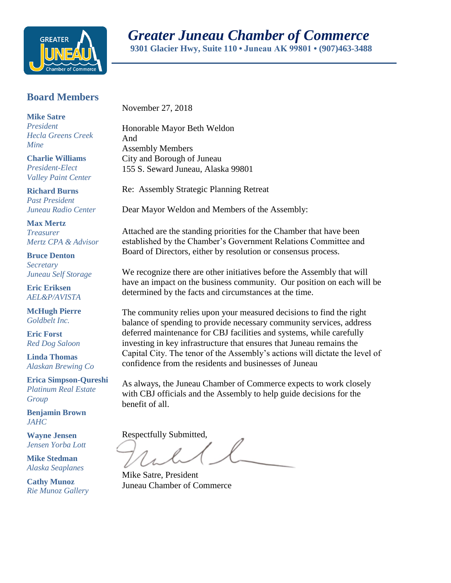

## **Board Members**

**Mike Satre** *President Hecla Greens Creek Mine*

**Charlie Williams** *President-Elect Valley Paint Center*

**Richard Burns** *Past President Juneau Radio Center*

**Max Mertz** *Treasurer Mertz CPA & Advisor*

**Bruce Denton** *Secretary Juneau Self Storage*

**Eric Eriksen** *AEL&P/AVISTA*

**McHugh Pierre** *Goldbelt Inc.*

**Eric Forst** *Red Dog Saloon*

**Linda Thomas** *Alaskan Brewing Co*

**Erica Simpson-Qureshi** *Platinum Real Estate Group*

**Benjamin Brown** *JAHC*

**Wayne Jensen** *Jensen Yorba Lott*

**Mike Stedman** *Alaska Seaplanes*

**Cathy Munoz** *Rie Munoz Gallery* November 27, 2018

Honorable Mayor Beth Weldon And Assembly Members City and Borough of Juneau 155 S. Seward Juneau, Alaska 99801

Re: Assembly Strategic Planning Retreat

Dear Mayor Weldon and Members of the Assembly:

Attached are the standing priorities for the Chamber that have been established by the Chamber's Government Relations Committee and Board of Directors, either by resolution or consensus process.

We recognize there are other initiatives before the Assembly that will have an impact on the business community. Our position on each will be determined by the facts and circumstances at the time.

The community relies upon your measured decisions to find the right balance of spending to provide necessary community services, address deferred maintenance for CBJ facilities and systems, while carefully investing in key infrastructure that ensures that Juneau remains the Capital City. The tenor of the Assembly's actions will dictate the level of confidence from the residents and businesses of Juneau

As always, the Juneau Chamber of Commerce expects to work closely with CBJ officials and the Assembly to help guide decisions for the benefit of all.

Respectfully Submitted,

Mike Satre, President Juneau Chamber of Commerce